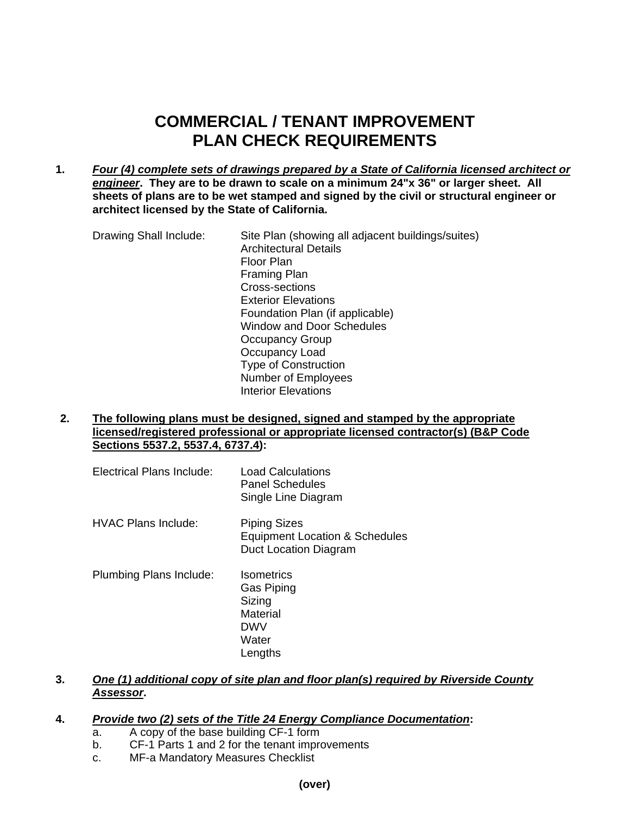## **COMMERCIAL / TENANT IMPROVEMENT PLAN CHECK REQUIREMENTS**

**1.** *Four (4) complete sets of drawings prepared by a State of California licensed architect or engineer***. They are to be drawn to scale on a minimum 24"x 36" or larger sheet. All sheets of plans are to be wet stamped and signed by the civil or structural engineer or architect licensed by the State of California.** 

Drawing Shall Include: Site Plan (showing all adjacent buildings/suites) Architectural Details Floor Plan Framing Plan Cross-sections Exterior Elevations Foundation Plan (if applicable) Window and Door Schedules Occupancy Group Occupancy Load Type of Construction Number of Employees Interior Elevations

**2. The following plans must be designed, signed and stamped by the appropriate licensed/registered professional or appropriate licensed contractor(s) (B&P Code Sections 5537.2, 5537.4, 6737.4):** 

| Electrical Plans Include: | <b>Load Calculations</b><br>Panel Schedules<br>Single Line Diagram             |
|---------------------------|--------------------------------------------------------------------------------|
| HVAC Plans Include:       | <b>Piping Sizes</b><br>Equipment Location & Schedules<br>Duct Location Diagram |
| Plumbing Plans Include:   | <b>Isometrics</b><br>Gas Piping<br>Sizing<br>Material<br><b>DWV</b><br>Water   |

**3.** *One (1) additional copy of site plan and floor plan(s) required by Riverside County Assessor***.** 

## **4.** *Provide two (2) sets of the Title 24 Energy Compliance Documentation***:**

**Lengths** 

- a. A copy of the base building CF-1 form
- b. CF-1 Parts 1 and 2 for the tenant improvements
- c. MF-a Mandatory Measures Checklist